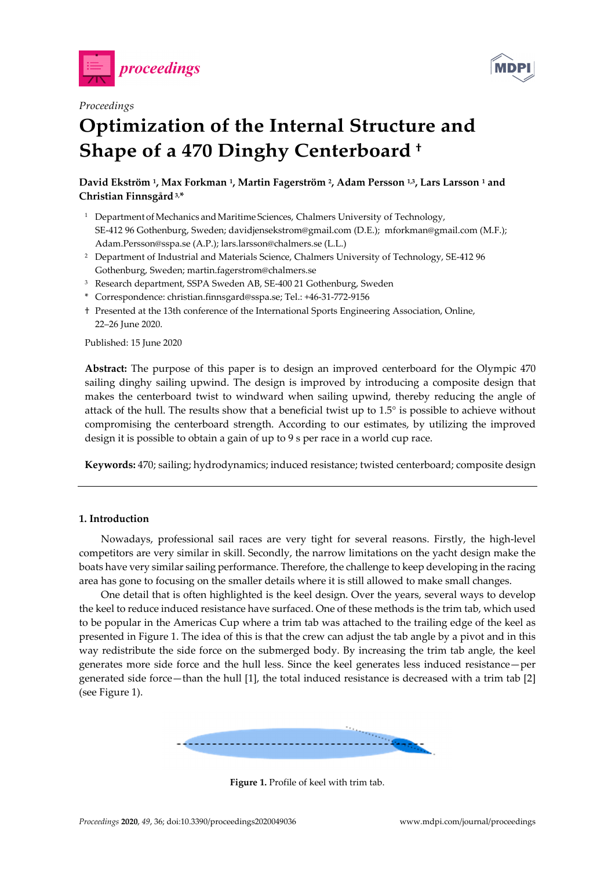



# *Proceedings*

# **Optimization of the Internal Structure and Shape of a 470 Dinghy Centerboard †**

# **David Ekström 1, Max Forkman 1, Martin Fagerström 2, Adam Persson 1,3, Lars Larsson 1 and Christian Finnsgård 3,\***

- <sup>1</sup> Department of Mechanics and Maritime Sciences, Chalmers University of Technology, SE-412 96 Gothenburg, Sweden; davidjensekstrom@gmail.com (D.E.); mforkman@gmail.com (M.F.); Adam.Persson@sspa.se (A.P.); lars.larsson@chalmers.se (L.L.)
- <sup>2</sup> Department of Industrial and Materials Science, Chalmers University of Technology, SE-412 96 Gothenburg, Sweden; martin.fagerstrom@chalmers.se
- 3 Research department, SSPA Sweden AB, SE-400 21 Gothenburg, Sweden
- \* Correspondence: christian.finnsgard@sspa.se; Tel.: +46-31-772-9156
- † Presented at the 13th conference of the International Sports Engineering Association, Online, 22–26 June 2020.

Published: 15 June 2020

**Abstract:** The purpose of this paper is to design an improved centerboard for the Olympic 470 sailing dinghy sailing upwind. The design is improved by introducing a composite design that makes the centerboard twist to windward when sailing upwind, thereby reducing the angle of attack of the hull. The results show that a beneficial twist up to 1.5° is possible to achieve without compromising the centerboard strength. According to our estimates, by utilizing the improved design it is possible to obtain a gain of up to 9 s per race in a world cup race.

**Keywords:** 470; sailing; hydrodynamics; induced resistance; twisted centerboard; composite design

## **1. Introduction**

Nowadays, professional sail races are very tight for several reasons. Firstly, the high-level competitors are very similar in skill. Secondly, the narrow limitations on the yacht design make the boats have very similar sailing performance. Therefore, the challenge to keep developing in the racing area has gone to focusing on the smaller details where it is still allowed to make small changes.

One detail that is often highlighted is the keel design. Over the years, several ways to develop the keel to reduce induced resistance have surfaced. One of these methods is the trim tab, which used to be popular in the Americas Cup where a trim tab was attached to the trailing edge of the keel as presented in Figure 1. The idea of this is that the crew can adjust the tab angle by a pivot and in this way redistribute the side force on the submerged body. By increasing the trim tab angle, the keel generates more side force and the hull less. Since the keel generates less induced resistance—per generated side force—than the hull [1], the total induced resistance is decreased with a trim tab [2] (see Figure 1).



**Figure 1.** Profile of keel with trim tab.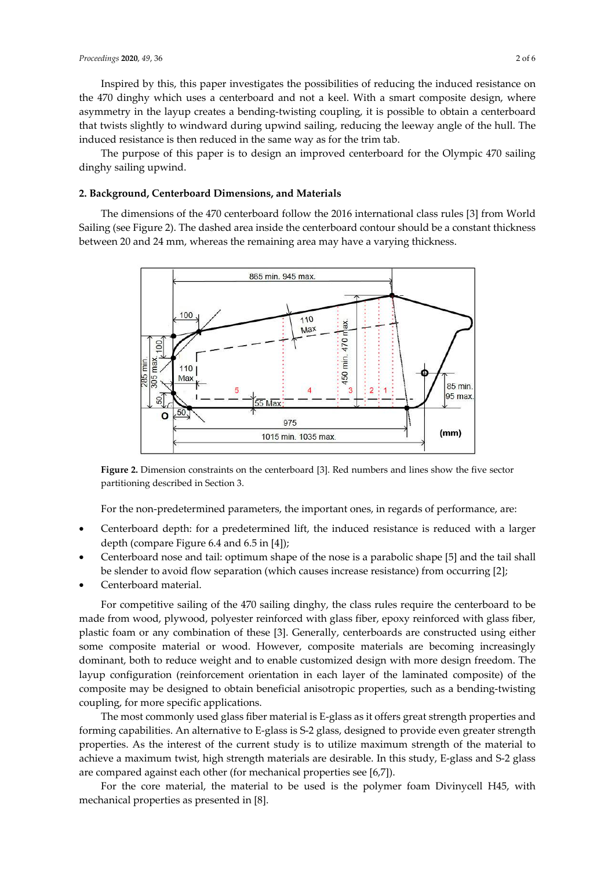Inspired by this, this paper investigates the possibilities of reducing the induced resistance on the 470 dinghy which uses a centerboard and not a keel. With a smart composite design, where asymmetry in the layup creates a bending-twisting coupling, it is possible to obtain a centerboard that twists slightly to windward during upwind sailing, reducing the leeway angle of the hull. The induced resistance is then reduced in the same way as for the trim tab.

The purpose of this paper is to design an improved centerboard for the Olympic 470 sailing dinghy sailing upwind.

#### **2. Background, Centerboard Dimensions, and Materials**

The dimensions of the 470 centerboard follow the 2016 international class rules [3] from World Sailing (see Figure 2). The dashed area inside the centerboard contour should be a constant thickness between 20 and 24 mm, whereas the remaining area may have a varying thickness.



**Figure 2.** Dimension constraints on the centerboard [3]. Red numbers and lines show the five sector partitioning described in Section 3.

For the non-predetermined parameters, the important ones, in regards of performance, are:

- Centerboard depth: for a predetermined lift, the induced resistance is reduced with a larger depth (compare Figure 6.4 and 6.5 in [4]);
- Centerboard nose and tail: optimum shape of the nose is a parabolic shape [5] and the tail shall be slender to avoid flow separation (which causes increase resistance) from occurring [2];
- Centerboard material.

For competitive sailing of the 470 sailing dinghy, the class rules require the centerboard to be made from wood, plywood, polyester reinforced with glass fiber, epoxy reinforced with glass fiber, plastic foam or any combination of these [3]. Generally, centerboards are constructed using either some composite material or wood. However, composite materials are becoming increasingly dominant, both to reduce weight and to enable customized design with more design freedom. The layup configuration (reinforcement orientation in each layer of the laminated composite) of the composite may be designed to obtain beneficial anisotropic properties, such as a bending-twisting coupling, for more specific applications.

The most commonly used glass fiber material is E-glass as it offers great strength properties and forming capabilities. An alternative to E-glass is S-2 glass, designed to provide even greater strength properties. As the interest of the current study is to utilize maximum strength of the material to achieve a maximum twist, high strength materials are desirable. In this study, E-glass and S-2 glass are compared against each other (for mechanical properties see [6,7]).

For the core material, the material to be used is the polymer foam Divinycell H45, with mechanical properties as presented in [8].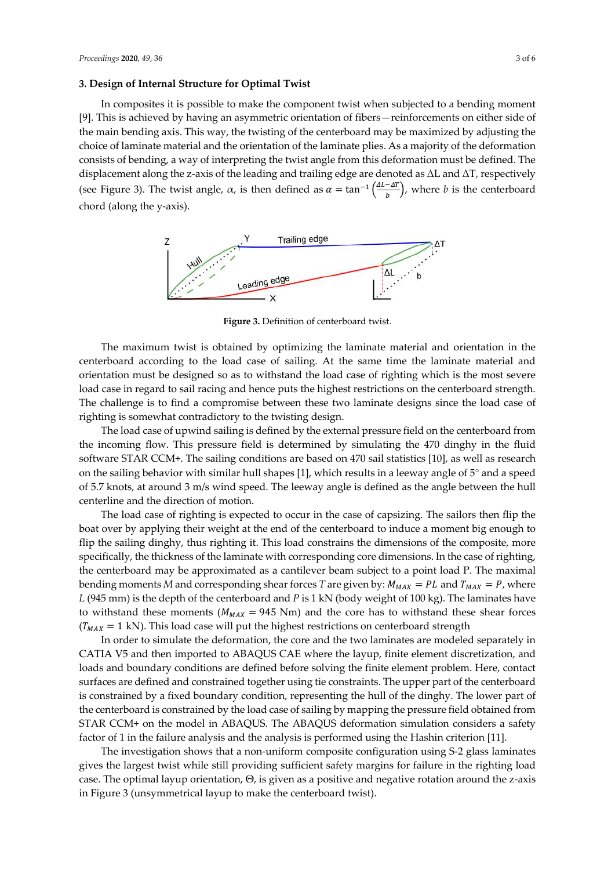#### **3. Design of Internal Structure for Optimal Twist**

In composites it is possible to make the component twist when subjected to a bending moment [9]. This is achieved by having an asymmetric orientation of fibers—reinforcements on either side of the main bending axis. This way, the twisting of the centerboard may be maximized by adjusting the choice of laminate material and the orientation of the laminate plies. As a majority of the deformation consists of bending, a way of interpreting the twist angle from this deformation must be defined. The displacement along the z-axis of the leading and trailing edge are denoted as ΔL and ΔT, respectively (see Figure 3). The twist angle,  $\alpha$ , is then defined as  $\alpha = \tan^{-1}\left(\frac{\Delta L - \Delta T}{b}\right)$ , where *b* is the centerboard chord (along the y-axis).



**Figure 3.** Definition of centerboard twist.

The maximum twist is obtained by optimizing the laminate material and orientation in the centerboard according to the load case of sailing. At the same time the laminate material and orientation must be designed so as to withstand the load case of righting which is the most severe load case in regard to sail racing and hence puts the highest restrictions on the centerboard strength. The challenge is to find a compromise between these two laminate designs since the load case of righting is somewhat contradictory to the twisting design.

The load case of upwind sailing is defined by the external pressure field on the centerboard from the incoming flow. This pressure field is determined by simulating the 470 dinghy in the fluid software STAR CCM+. The sailing conditions are based on 470 sail statistics [10], as well as research on the sailing behavior with similar hull shapes [1], which results in a leeway angle of 5° and a speed of 5.7 knots, at around 3 m/s wind speed. The leeway angle is defined as the angle between the hull centerline and the direction of motion.

The load case of righting is expected to occur in the case of capsizing. The sailors then flip the boat over by applying their weight at the end of the centerboard to induce a moment big enough to flip the sailing dinghy, thus righting it. This load constrains the dimensions of the composite, more specifically, the thickness of the laminate with corresponding core dimensions. In the case of righting, the centerboard may be approximated as a cantilever beam subject to a point load P. The maximal bending moments *M* and corresponding shear forces *T* are given by:  $M_{MAX} = PL$  and  $T_{MAX} = P$ , where *L* (945 mm) is the depth of the centerboard and *P* is 1 kN (body weight of 100 kg). The laminates have to withstand these moments ( $M_{MAX}$  = 945 Nm) and the core has to withstand these shear forces  $(T<sub>MAX</sub> = 1 kN)$ . This load case will put the highest restrictions on centerboard strength

In order to simulate the deformation, the core and the two laminates are modeled separately in CATIA V5 and then imported to ABAQUS CAE where the layup, finite element discretization, and loads and boundary conditions are defined before solving the finite element problem. Here, contact surfaces are defined and constrained together using tie constraints. The upper part of the centerboard is constrained by a fixed boundary condition, representing the hull of the dinghy. The lower part of the centerboard is constrained by the load case of sailing by mapping the pressure field obtained from STAR CCM+ on the model in ABAQUS. The ABAQUS deformation simulation considers a safety factor of 1 in the failure analysis and the analysis is performed using the Hashin criterion [11].

The investigation shows that a non-uniform composite configuration using S-2 glass laminates gives the largest twist while still providing sufficient safety margins for failure in the righting load case. The optimal layup orientation, Θ, is given as a positive and negative rotation around the z-axis in Figure 3 (unsymmetrical layup to make the centerboard twist).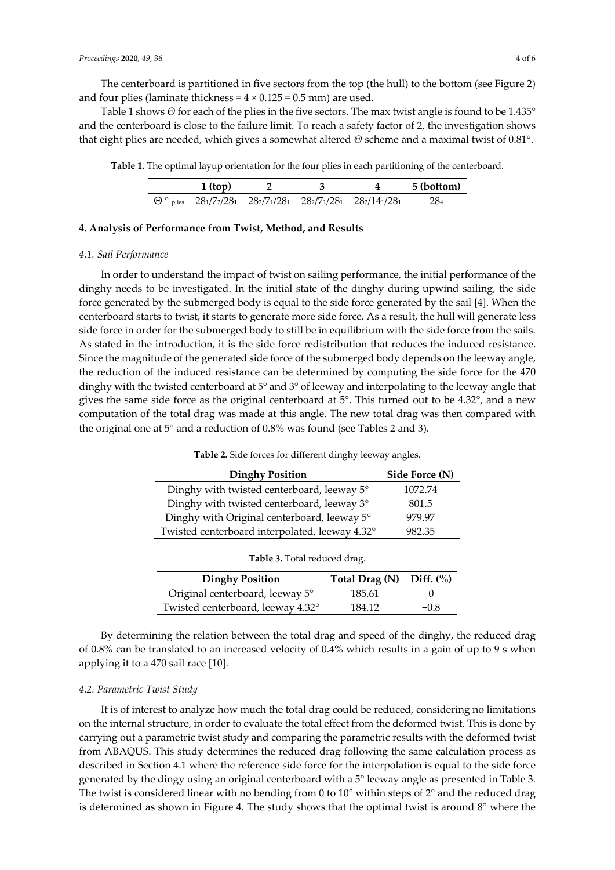The centerboard is partitioned in five sectors from the top (the hull) to the bottom (see Figure 2) and four plies (laminate thickness =  $4 \times 0.125 = 0.5$  mm) are used.

Table 1 shows *Θ* for each of the plies in the five sectors. The max twist angle is found to be 1.435° and the centerboard is close to the failure limit. To reach a safety factor of 2, the investigation shows that eight plies are needed, which gives a somewhat altered *Θ* scheme and a maximal twist of 0.81°.

**Table 1.** The optimal layup orientation for the four plies in each partitioning of the centerboard.

| $1$ (top) |  |                                                               | 5 (bottom) |
|-----------|--|---------------------------------------------------------------|------------|
|           |  | $\Theta$ ° plies 281/72/281 282/71/281 282/71/281 282/141/281 | 284        |

#### **4. Analysis of Performance from Twist, Method, and Results**

#### *4.1. Sail Performance*

In order to understand the impact of twist on sailing performance, the initial performance of the dinghy needs to be investigated. In the initial state of the dinghy during upwind sailing, the side force generated by the submerged body is equal to the side force generated by the sail [4]. When the centerboard starts to twist, it starts to generate more side force. As a result, the hull will generate less side force in order for the submerged body to still be in equilibrium with the side force from the sails. As stated in the introduction, it is the side force redistribution that reduces the induced resistance. Since the magnitude of the generated side force of the submerged body depends on the leeway angle, the reduction of the induced resistance can be determined by computing the side force for the 470 dinghy with the twisted centerboard at 5° and 3° of leeway and interpolating to the leeway angle that gives the same side force as the original centerboard at 5°. This turned out to be 4.32°, and a new computation of the total drag was made at this angle. The new total drag was then compared with the original one at 5° and a reduction of 0.8% was found (see Tables 2 and 3).

| <b>Dinghy Position</b>                         | Side Force (N) |
|------------------------------------------------|----------------|
| Dinghy with twisted centerboard, leeway 5°     | 1072.74        |
| Dinghy with twisted centerboard, leeway 3°     | 801.5          |
| Dinghy with Original centerboard, leeway 5°    | 979.97         |
| Twisted centerboard interpolated, leeway 4.32° | 982.35         |

**Table 2.** Side forces for different dinghy leeway angles.

| <b>Table 5.</b> Total reduced drag. |                                |        |  |  |  |  |
|-------------------------------------|--------------------------------|--------|--|--|--|--|
| <b>Dinghy Position</b>              | Total Drag $(N)$ Diff. $(\% )$ |        |  |  |  |  |
| Original centerboard, leeway 5°     | 185.61                         |        |  |  |  |  |
| Twisted centerboard, leeway 4.32°   | 184.12                         | $-0.8$ |  |  |  |  |

**Table 3.** Total reduced drag.

By determining the relation between the total drag and speed of the dinghy, the reduced drag of 0.8% can be translated to an increased velocity of 0.4% which results in a gain of up to 9 s when applying it to a 470 sail race [10].

#### *4.2. Parametric Twist Study*

It is of interest to analyze how much the total drag could be reduced, considering no limitations on the internal structure, in order to evaluate the total effect from the deformed twist. This is done by carrying out a parametric twist study and comparing the parametric results with the deformed twist from ABAQUS. This study determines the reduced drag following the same calculation process as described in Section 4.1 where the reference side force for the interpolation is equal to the side force generated by the dingy using an original centerboard with a 5° leeway angle as presented in Table 3. The twist is considered linear with no bending from 0 to 10° within steps of 2° and the reduced drag is determined as shown in Figure 4. The study shows that the optimal twist is around 8° where the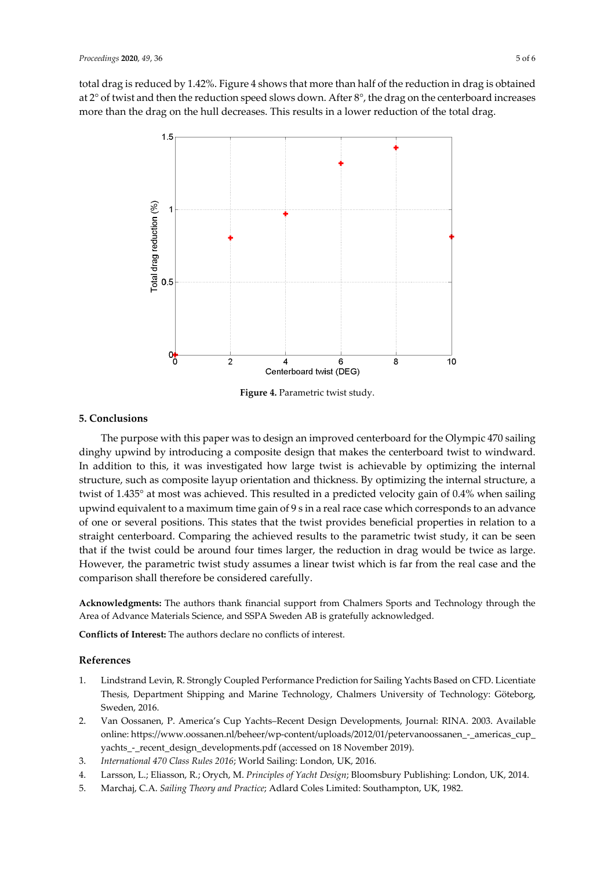total drag is reduced by 1.42%. Figure 4 shows that more than half of the reduction in drag is obtained at 2° of twist and then the reduction speed slows down. After 8°, the drag on the centerboard increases more than the drag on the hull decreases. This results in a lower reduction of the total drag.



**Figure 4.** Parametric twist study.

## **5. Conclusions**

The purpose with this paper was to design an improved centerboard for the Olympic 470 sailing dinghy upwind by introducing a composite design that makes the centerboard twist to windward. In addition to this, it was investigated how large twist is achievable by optimizing the internal structure, such as composite layup orientation and thickness. By optimizing the internal structure, a twist of 1.435° at most was achieved. This resulted in a predicted velocity gain of 0.4% when sailing upwind equivalent to a maximum time gain of 9 s in a real race case which corresponds to an advance of one or several positions. This states that the twist provides beneficial properties in relation to a straight centerboard. Comparing the achieved results to the parametric twist study, it can be seen that if the twist could be around four times larger, the reduction in drag would be twice as large. However, the parametric twist study assumes a linear twist which is far from the real case and the comparison shall therefore be considered carefully.

**Acknowledgments:** The authors thank financial support from Chalmers Sports and Technology through the Area of Advance Materials Science, and SSPA Sweden AB is gratefully acknowledged.

**Conflicts of Interest:** The authors declare no conflicts of interest.

## **References**

- 1. Lindstrand Levin, R. Strongly Coupled Performance Prediction for Sailing Yachts Based on CFD. Licentiate Thesis, Department Shipping and Marine Technology, Chalmers University of Technology: Göteborg, Sweden, 2016.
- 2. Van Oossanen, P. America's Cup Yachts–Recent Design Developments, Journal: RINA. 2003. Available online: https://www.oossanen.nl/beheer/wp-content/uploads/2012/01/petervanoossanen\_-\_americas\_cup\_ yachts - recent design developments.pdf (accessed on 18 November 2019).
- 3. *International 470 Class Rules 2016*; World Sailing: London, UK, 2016.
- 4. Larsson, L.; Eliasson, R.; Orych, M. *Principles of Yacht Design*; Bloomsbury Publishing: London, UK, 2014.
- 5. Marchaj, C.A. *Sailing Theory and Practice*; Adlard Coles Limited: Southampton, UK, 1982.